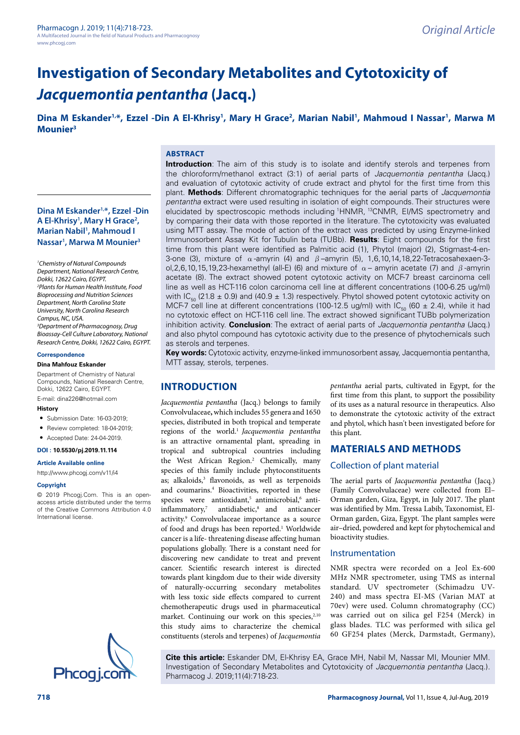# **Investigation of Secondary Metabolites and Cytotoxicity of**  *Jacquemontia pentantha* **(Jacq.)**

Dina M Eskander<sup>1,\*</sup>, Ezzel -Din A El-Khrisy<sup>1</sup>, Mary H Grace<sup>2</sup>, Marian Nabil<sup>1</sup>, Mahmoud I Nassar<sup>1</sup>, Marwa M **Mounier3**

# **Dina M Eskander1,\*, Ezzel -Din A El-Khrisy1 , Mary H Grace2 , Marian Nabil1 , Mahmoud I Nassar1 , Marwa M Mounier3**

*1 Chemistry of Natural Compounds Department, National Research Centre, Dokki, 12622 Cairo, EGYPT. 2 Plants for Human Health Institute, Food Bioprocessing and Nutrition Sciences Department, North Carolina State University, North Carolina Research Campus, NC, USA. 3 Department of Pharmacognosy, Drug Bioassay-Cell Culture Laboratory, National Research Centre, Dokki, 12622 Cairo, EGYPT.*

#### **Correspondence**

#### **Dina Mahfouz Eskander**

Department of Chemistry of Natural Compounds, National Research Centre, Dokki, 12622 Cairo, EGYPT.

E-mail: [dina226@hotmail.com](mailto:dina226@hotmail.com)

#### **History**

- Submission Date: 16-03-2019;
- Review completed: 18-04-2019;
- Accepted Date: 24-04-2019.

## **DOI : 10.5530/pj.2019.11.114**

#### **Article Available online**

[http://www.phcogj.com/v11/i](http://www.phcogj.com/v11/i3)4

#### **Copyright**

© 2019 Phcogj.Com. This is an openaccess article distributed under the terms of the Creative Commons Attribution 4.0 International license.



#### **ABSTRACT**

**Introduction**: The aim of this study is to isolate and identify sterols and terpenes from the chloroform/methanol extract (3:1) of aerial parts of *Jacquemontia pentantha* (Jacq.) and evaluation of cytotoxic activity of crude extract and phytol for the first time from this plant. **Methods**: Different chromatographic techniques for the aerial parts of *Jacquemontia pentantha* extract were used resulting in isolation of eight compounds. Their structures were elucidated by spectroscopic methods including 1HNMR, 13CNMR, EI/MS spectrometry and by comparing their data with those reported in the literature. The cytotoxicity was evaluated using MTT assay. The mode of action of the extract was predicted by using Enzyme-linked Immunosorbent Assay Kit for Tubulin beta (TUBb). **Results**: Eight compounds for the first time from this plant were identified as Palmitic acid (1), Phytol (major) (2), Stigmast-4-en-3-one (3), mixture of  $\alpha$ -amyrin (4) and  $\beta$ -amyrin (5), 1,6,10,14,18,22-Tetracosahexaen-3ol,2,6,10,15,19,23-hexamethyl (all-E) (6) and mixture of  $\alpha$  – amyrin acetate (7) and  $\beta$ -amyrin acetate (8). The extract showed potent cytotoxic activity on MCF-7 breast carcinoma cell line as well as HCT-116 colon carcinoma cell line at different concentrations (100-6.25 ug/ml) with  $IC_{50}$  (21.8  $\pm$  0.9) and (40.9  $\pm$  1.3) respectively. Phytol showed potent cytotoxic activity on MCF-7 cell line at different concentrations (100-12.5 ug/ml) with  $IC_{\text{F0}}$  (60  $\pm$  2.4), while it had no cytotoxic effect on HCT-116 cell line. The extract showed significant TUBb polymerization inhibition activity. **Conclusion**: The extract of aerial parts of *Jacquemontia pentantha* (Jacq.) and also phytol compound has cytotoxic activity due to the presence of phytochemicals such as sterols and terpenes.

**Key words:** Cytotoxic activity, enzyme-linked immunosorbent assay, Jacquemontia pentantha, MTT assay, sterols, terpenes.

# **INTRODUCTION**

*Jacquemontia pentantha* (Jacq.) belongs to family Convolvulaceae**,** which includes 55 genera and 1650 species, distributed in both tropical and temperate regions of the world.1 *Jacquemontia pentantha* is an attractive ornamental plant, spreading in tropical and subtropical countries including the West African Region.<sup>2</sup> Chemically, many species of this family include phytoconstituents as; alkaloids,<sup>3</sup> flavonoids, as well as terpenoids and coumarins.<sup>4</sup> Bioactivities, reported in these species were antioxidant,<sup>5</sup> antimicrobial, $6$  antiinflammatory,7 antidiabetic,8 and anticancer activity.9 Convolvulaceae importance as a source of food and drugs has been reported.<sup>1</sup> Worldwide cancer is a life- threatening disease affecting human populations globally. There is a constant need for discovering new candidate to treat and prevent cancer. Scientific research interest is directed towards plant kingdom due to their wide diversity of naturally-occurring secondary metabolites with less toxic side effects compared to current chemotherapeutic drugs used in pharmaceutical market. Continuing our work on this species, $2,10$ this study aims to characterize the chemical constituents (sterols and terpenes) of *Jacquemontia*  *pentantha* aerial parts, cultivated in Egypt, for the first time from this plant, to support the possibility of its uses as a natural resource in therapeutics. Also to demonstrate the cytotoxic activity of the extract and phytol, which hasn't been investigated before for this plant.

# **MATERIALS AND METHODS**

## Collection of plant material

The aerial parts of *Jacquemontia pentantha* (Jacq.) (Family Convolvulaceae) were collected from El– Orman garden, Giza, Egypt, in July 2017. The plant was identified by Mm. Tressa Labib, Taxonomist, El-Orman garden, Giza, Egypt. The plant samples were air–dried, powdered and kept for phytochemical and bioactivity studies.

#### Instrumentation

NMR spectra were recorded on a Jeol Ex-600 MHz NMR spectrometer, using TMS as internal standard. UV spectrometer (Schimadzu UV-240) and mass spectra EI-MS (Varian MAT at 70ev) were used. Column chromatography (CC) was carried out on silica gel F254 (Merck) in glass blades. TLC was performed with silica gel 60 GF254 plates (Merck, Darmstadt, Germany),

**Cite this article:** Eskander DM, El-Khrisy EA, Grace MH, Nabil M, Nassar MI, Mounier MM. Investigation of Secondary Metabolites and Cytotoxicity of *Jacquemontia pentantha* (Jacq.)*.* Phcog<sub>i.com</sub> Pharmacog J. 2019;11(4):718-23.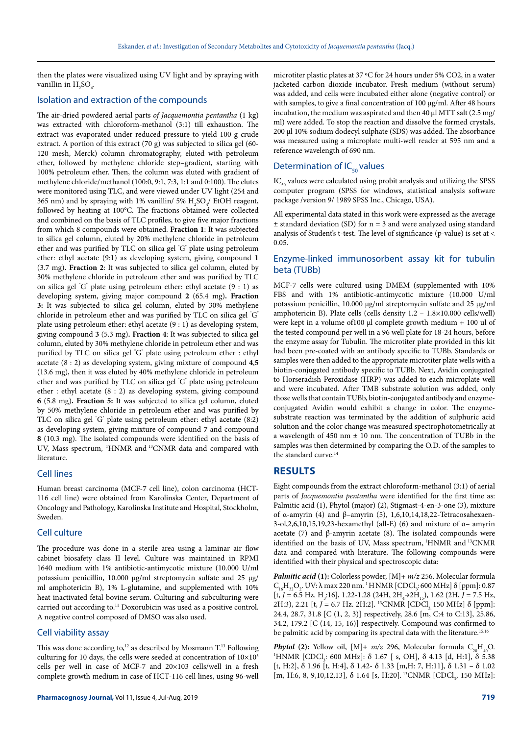then the plates were visualized using UV light and by spraying with vanillin in  $H_2SO_4$ .

### Isolation and extraction of the compounds

The air-dried powdered aerial parts *of Jacquemontia pentantha* (1 kg) was extracted with chloroform-methanol (3:1) till exhaustion. The extract was evaporated under reduced pressure to yield 100 g crude extract. A portion of this extract (70 g) was subjected to silica gel (60- 120 mesh, Merck) column chromatography, eluted with petroleum ether, followed by methylene chloride step–gradient, starting with 100% petroleum ether. Then, the column was eluted with gradient of methylene chloride/methanol (100:0, 9:1, 7:3, 1:1 and 0:100). The elutes were monitored using TLC, and were viewed under UV light (254 and 365 nm) and by spraying with 1% vanillin/ 5%  $\rm H_2SO_4/$  EtOH reagent, followed by heating at 100°C. The fractions obtained were collected and combined on the basis of TLC profiles, to give five major fractions from which 8 compounds were obtained. **Fraction 1**: It was subjected to silica gel column, eluted by 20% methylene chloride in petroleum ether and was purified by TLC on silica gel " G" plate using petroleum ether: ethyl acetate (9:1) as developing system, giving compound **1** (3.7 mg)**. Fraction 2**: It was subjected to silica gel column, eluted by 30% methylene chloride in petroleum ether and was purified by TLC on silica gel " G" plate using petroleum ether: ethyl acetate (9 : 1) as developing system, giving major compound **2** (65.4 mg)**. Fraction 3:** It was subjected to silica gel column, eluted by 30% methylene chloride in petroleum ether and was purified by TLC on silica gel " G" plate using petroleum ether: ethyl acetate (9 : 1) as developing system, giving compound **3** (5.3 mg)**. Fraction 4**: It was subjected to silica gel column, eluted by 30% methylene chloride in petroleum ether and was purified by TLC on silica gel "G" plate using petroleum ether : ethyl acetate (8 : 2) as developing system, giving mixture of compound **4**,**5** (13.6 mg), then it was eluted by 40% methylene chloride in petroleum ether and was purified by TLC on silica gel " G" plate using petroleum ether : ethyl acetate (8 : 2) as developing system, giving compound **6** (5.8 mg)**. Fraction 5:** It was subjected to silica gel column, eluted by 50% methylene chloride in petroleum ether and was purified by TLC on silica gel " G" plate using petroleum ether: ethyl acetate (8:2) as developing system, giving mixture of compound **7** and compound **8** (10.3 mg). The isolated compounds were identified on the basis of UV, Mass spectrum, <sup>1</sup>HNMR and <sup>13</sup>CNMR data and compared with literature.

## Cell lines

Human breast carcinoma (MCF-7 cell line), colon carcinoma (HCT-116 cell line) were obtained from Karolinska Center, Department of Oncology and Pathology, Karolinska Institute and Hospital, Stockholm, Sweden.

#### Cell culture

The procedure was done in a sterile area using a laminar air flow cabinet biosafety class II level. Culture was maintained in RPMI 1640 medium with 1% antibiotic-antimycotic mixture (10.000 U/ml potassium penicillin, 10.000 μg/ml streptomycin sulfate and 25 μg/ ml amphotericin B), 1% L-glutamine, and supplemented with 10% heat inactivated fetal bovine serum. Culturing and subculturing were carried out according to.<sup>11</sup> Doxorubicin was used as a positive control. A negative control composed of DMSO was also used.

#### Cell viability assay

This was done according to,<sup>12</sup> as described by Mosmann T.<sup>13</sup> Following culturing for 10 days, the cells were seeded at concentration of  $10\times10^{3}$ cells per well in case of MCF-7 and 20×103 cells/well in a fresh complete growth medium in case of HCT-116 cell lines, using 96-well microtiter plastic plates at 37 ºC for 24 hours under 5% CO2, in a water jacketed carbon dioxide incubator. Fresh medium (without serum) was added, and cells were incubated either alone (negative control) or with samples, to give a final concentration of 100 μg/ml. After 48 hours incubation, the medium was aspirated and then 40 μl MTT salt (2.5 mg/ ml) were added. To stop the reaction and dissolve the formed crystals, 200 μl 10% sodium dodecyl sulphate (SDS) was added. The absorbance was measured using a microplate multi-well reader at 595 nm and a reference wavelength of 690 nm.

## Determination of  $IC_{50}$  values

 $IC_{50}$  values were calculated using probit analysis and utilizing the SPSS computer program (SPSS for windows, statistical analysis software package /version 9/ 1989 SPSS Inc., Chicago, USA).

All experimental data stated in this work were expressed as the average  $±$  standard deviation (SD) for  $n = 3$  and were analyzed using standard analysis of Student's t-test. The level of significance (p-value) is set at < 0.05.

## Enzyme-linked immunosorbent assay kit for tubulin beta (TUBb)

MCF-7 cells were cultured using DMEM (supplemented with 10% FBS and with 1% antibiotic-antimycotic mixture (10.000 U/ml potassium penicillin, 10.000 μg/ml streptomycin sulfate and 25 μg/ml amphotericin B). Plate cells (cells density 1.2 – 1.8×10.000 cells/well) were kept in a volume of 100  $\mu$ l complete growth medium + 100  $\mu$ l of the tested compound per well in a 96 well plate for 18-24 hours, before the enzyme assay for Tubulin. The microtiter plate provided in this kit had been pre-coated with an antibody specific to TUBb. Standards or samples were then added to the appropriate microtiter plate wells with a biotin-conjugated antibody specific to TUBb. Next, Avidin conjugated to Horseradish Peroxidase (HRP) was added to each microplate well and were incubated. After TMB substrate solution was added, only those wells that contain TUBb, biotin-conjugated antibody and enzymeconjugated Avidin would exhibit a change in color. The enzymesubstrate reaction was terminated by the addition of sulphuric acid solution and the color change was measured spectrophotometrically at a wavelength of 450 nm  $\pm$  10 nm. The concentration of TUBb in the samples was then determined by comparing the O.D. of the samples to the standard curve.<sup>14</sup>

#### **RESULTS**

Eight compounds from the extract chloroform-methanol (3:1) of aerial parts of *Jacquemontia pentantha* were identified for the first time as: Palmitic acid (1), Phytol (major) (2), Stigmast-4-en-3-one (3), mixture of α-amyrin (4) and β–amyrin (5), 1,6,10,14,18,22-Tetracosahexaen-3-ol,2,6,10,15,19,23-hexamethyl (all-E) (6) and mixture of  $\alpha$ – amyrin acetate (7) and β-amyrin acetate (8). The isolated compounds were identified on the basis of UV, Mass spectrum, <sup>1</sup>HNMR and <sup>13</sup>CNMR data and compared with literature. The following compounds were identified with their physical and spectroscopic data:

*Palmitic acid* **(1):** Colorless powder, [M]+ *m/z* 256. Molecular formula  $C_{16}H_{32}O_2$ . UV: λ max 220 nm. <sup>1</sup> H NMR [CDCl<sub>3</sub>: 600 MHz] δ [ppm]: 0.87  $[t, J = 6.5 \text{ Hz. H}_3:16], 1.22-1.28 \ (24H, 2H_4 \rightarrow 2H_{15}), 1.62 \ (2H, J = 7.5 \text{ Hz},$ 2H:3), 2.21 [t, *J* = 6.7 Hz. 2H:2]. <sup>13</sup>CNMR [CDCl<sub>3</sub>, 150 MHz] δ [ppm]: 24.4, 28.7, 31.8 [C (1, 2, 3)] respectively, 28.6 [m, C:4 to C:13], 25.86, 34.2, 179.2 [C (14, 15, 16)] respectively. Compound was confirmed to be palmitic acid by comparing its spectral data with the literature.<sup>15,16</sup>

*Phytol* (2): Yellow oil,  $[M]+ m/z$  296, Molecular formula  $C_{20}H_{40}O$ . HNMR [CDCl<sub>3</sub>: 600 MHz]: δ 1.67 [ s, OH], δ 4.13 [d, H:1], δ 5.38 [t, H:2], δ 1.96 [t, H:4], δ 1.42- δ 1.33 [m,H: 7, H:11], δ 1.31 – δ 1.02  $[m, H:6, 8, 9, 10, 12, 13], \delta$  1.64 [s, H:20]. <sup>13</sup>CNMR [CDCl<sub>3</sub>, 150 MHz]: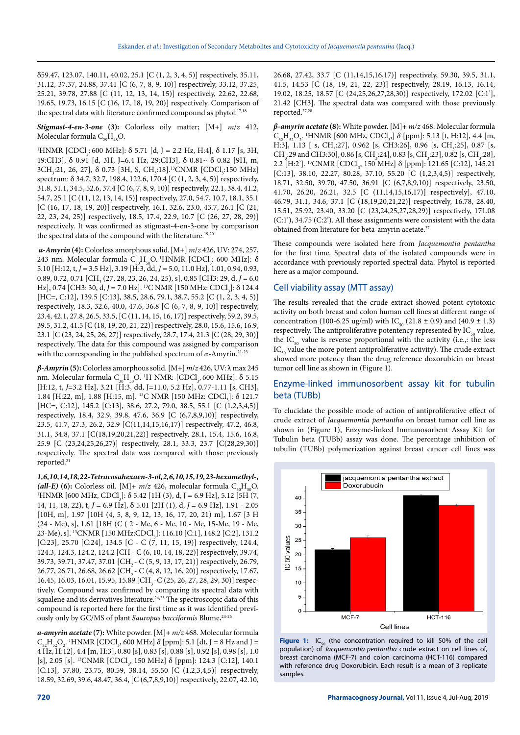δ59.47, 123.07, 140.11, 40.02, 25.1 [C (1, 2, 3, 4, 5)] respectively, 35.11, 31.12, 37.37, 24.88, 37.41 [C (6, 7, 8, 9, 10)] respectively, 33.12, 37.25, 25.21, 39.78, 27.88 [C (11, 12, 13, 14, 15)] respectively, 22.62, 22.68, 19.65, 19.73, 16.15 [C (16, 17, 18, 19, 20)] respectively. Comparison of the spectral data with literature confirmed compound as phytol.<sup>17,18</sup>

*Stigmast-4-en-3-one* **(3):** Colorless oily matter; [M+] *m*/*z* 412, Molecular formula  $C_{29}H_{48}O$ .

<sup>1</sup>HNMR [CDCl<sub>3</sub>: 600 MHz]: δ 5.71 [d, J = 2.2 Hz, H:4], δ 1.17 [s, 3H, 19:CH3], δ 0.91 [d, 3H, J=6.4 Hz, 29:CH3], δ 0.81~ δ 0.82 [9H, m, 3CH<sub>3</sub>:21, 26, 27], δ 0.73 [3H, S, CH<sub>3</sub>:18].<sup>13</sup>CNMR [CDCl<sub>3</sub>:150 MHz] spectrum: δ 34.7, 32.7, 198.4, 122.6, 170.4 [C (1, 2, 3, 4, 5)] respectively, 31.8, 31.1, 34.5, 52.6, 37.4 [C (6, 7, 8, 9, 10)] respectively, 22.1, 38.4, 41.2, 54.7, 25.1 [C (11, 12, 13, 14, 15)] respectively, 27.0, 54.7, 10.7, 18.1, 35.1 [C (16, 17, 18, 19, 20)] respectively, 16.1, 32.6, 23.0, 43.7, 26.1 [C (21, 22, 23, 24, 25)] respectively, 18.5, 17.4, 22.9, 10.7 [C (26, 27, 28, 29)] respectively. It was confirmed as stigmast-4-en-3-one by comparison the spectral data of the compound with the literature.<sup>19,20</sup>

 *α-Amyrin* **(4):** Colorless amorphous solid.[M+] *m*/*z* 426, UV: 274, 257, 243 nm. Molecular formula  $C_{30}H_{50}O$ . 'HNMR [CDCl<sub>3</sub>: 600 MHz]:  $\delta$ 5.10 [H:12, t, *J* = 3.5 Hz], 3.19 [H:3, dd, *J =* 5.0, 11.0 Hz], 1.01, 0.94, 0.93, 0.89, 0.72, 0.71 [CH<sub>3</sub> (27, 28, 23, 26, 24, 25), s], 0.85 [CH3: 29, d, *J* = 6.0 Hz], 0.74 [CH3: 30, d, *J* = 7.0 Hz]. <sup>13</sup>C NMR [150 MHz: CDCl<sub>3</sub>]: δ 124.4 [HC=, C:12], 139.5 [C:13], 38.5, 28.6, 79.1, 38.7, 55.2 [C (1, 2, 3, 4, 5)] respectively, 18.3, 32.6, 40.0, 47.6, 36.8 [C (6, 7, 8, 9, 10)] respectively, 23.4, 42.1, 27.8, 26.5, 33.5, [C (11, 14, 15, 16, 17)] respectively, 59.2, 39.5, 39.5, 31.2, 41.5 [C (18, 19, 20, 21, 22)] respectively, 28.0, 15.6, 15.6, 16.9, 23.1 [C (23, 24, 25, 26, 27)] respectively, 28.7, 17.4, 21.3 [C (28, 29, 30)] respectively. The data for this compound was assigned by comparison with the corresponding in the published spectrum of *α-*Amyrin.21-23

*β-Amyrin* **(5):**Colorless amorphous solid. [M+] *m*/*z* 426, UV: λ max 245 nm. Molecular formula  $C_{30}H_{50}O.$  'H NMR: [CDCl<sub>3</sub>, 600 MHz]: δ 5.15 [H:12, t, *J*=3.2 Hz], 3.21 [H:3, dd, J=11.0, 5.2 Hz], 0.77-1.11 [s, CH3], 1.84 [H:22, m], 1.88 [H:15, m]. <sup>13</sup>C NMR [150 MHz: CDCl<sub>3</sub>]: δ 121.7 [HC=, C:12], 145.2 [C:13], 38.6, 27.2, 79.0, 38.5, 55.1 [C (1,2,3,4,5)] respectively, 18.4, 32.9, 39.8, 47.6, 36.9 [C (6,7,8,9,10)] respectively, 23.5, 41.7, 27.3, 26.2, 32.9 [C(11,14,15,16,17)] respectively, 47.2, 46.8, 31.1, 34.8, 37.1 [C(18,19,20,21,22)] respectively, 28.1, 15.4, 15.6, 16.8, 25.9 [C (23,24,25,26,27)] respectively, 28.1, 33.3, 23.7 [C(28,29,30)] respectively. The spectral data was compared with those previously reported.21

*1,6,10,14,18,22-Tetracosahexaen-3-ol,2,6,10,15,19,23-hexamethyl-, (all-E)* (6): Colorless oil.  $[M] + m/z$  426, molecular formula  $C_{20}H_{50}O$ . HNMR [600 MHz, CDCl<sub>3</sub>]: δ 5.42 [1H (3), d, J = 6.9 Hz], 5.12 [5H (7, 14, 11, 18, 22), t, *J* = 6.9 Hz], δ 5.01 [2H (1), d, *J* = 6.9 Hz], 1.91 - 2.05 [10H, m], 1.97 [10H (4, 5, 8, 9, 12, 13, 16, 17, 20, 21) m], 1.67 [3 H (24 - Me), s], 1.61 [18H (C ( 2 - Me, 6 - Me, 10 - Me, 15-Me, 19 - Me, 23-Me), s]. <sup>13</sup>CNMR [150 MHz:CDCl<sub>3</sub>]: 116.10 [C:1], 148.2 [C:2], 131.2 [C:23], 25.70 [C:24], 134.5 [C - C (7, 11, 15, 19)] respectively, 124.4, 124.3, 124.3, 124.2, 124.2 [CH - C (6, 10, 14, 18, 22)] respectively, 39.74, 39.73, 39.71, 37.47, 37.01 [CH<sub>2</sub> - C (5, 9, 13, 17, 21)] respectively, 26.79, 26.77, 26.71, 26.68, 26.62 [CH<sub>2</sub> - C (4, 8, 12, 16, 20)] respectively, 17.67, 16.45, 16.03, 16.01, 15.95, 15.89 [CH<sub>3</sub> -C (25, 26, 27, 28, 29, 30)] respectively. Compound was confirmed by comparing its spectral data with squalene and its derivatives literature.<sup>24,25</sup> The spectroscopic data of this compound is reported here for the first time as it was identified previously only by GC/MS of plant *Sauropus bacciformis* Blume**.** 24-26

*a-amyrin acetate* **(7):** White powder. [M]+ *m/z* 468. Molecular formula  $C_{32}H_{52}O_2$ . <sup>1</sup>HNMR [CDCl<sub>3</sub>, 600 MHz]  $\delta$  [ppm]: 5.1 [dt, J = 8 Hz and J = 4 Hz, H:12], 4.4 [m, H:3], 0.80 [s], 0.83 [s], 0.88 [s], 0.92 [s], 0.98 [s], 1.0 [s], 2.05 [s]. <sup>13</sup>CNMR [CDCl<sub>3</sub>, 150 MHz] δ [ppm]: 124.3 [C:12], 140.1 [C:13], 37.80, 23.75, 80.59, 38.14, 55.50 [C (1,2,3,4,5)] respectively, 18.59, 32.69, 39.6, 48.47, 36.4, [C (6,7,8,9,10)] respectively, 22.07, 42.10, 26.68, 27.42, 33.7 [C (11,14,15,16,17)] respectively, 59.30, 39.5, 31.1, 41.5, 14.53 [C (18, 19, 21, 22, 23)] respectively, 28.19, 16.13, 16.14, 19.02, 18.25, 18.57 [C (24,25,26,27,28,30)] respectively, 172.02 [C:1'], 21.42 [CH3]. The spectral data was compared with those previously reported.27,28

*β-amyrin acetate* **(8):** White powder. [M]+ *m/z* 468. Molecular formula C<sub>32</sub>H<sub>52</sub>O<sub>2</sub>. <sup>1</sup>HNMR [600 MHz, CDCl<sub>3</sub>,] δ [ppm]: 5.13 [t, H:12], 4.4 [m, H:3], 1.13 [ s, CH<sub>3</sub>:27], 0.962 [s, CH3:26], 0.96 [s, CH<sub>3</sub>:25], 0.87 [s, CH<sub>3</sub>:29 and CH3:30], 0.86 [s, CH<sub>3</sub>:24], 0.83 [s, CH<sub>3</sub>:23], 0.82 [s, CH<sub>3</sub>:28], 2.2 [H:2']. <sup>13</sup>CNMR [CDCl<sub>3</sub>, 150 MHz] δ [ppm]: 121.65 [C:12], 145.21 [C:13], 38.10, 22.27, 80.28, 37.10, 55.20 [C (1,2,3,4,5)] respectively, 18.71, 32.50, 39.70, 47.50, 36.91 [C (6,7,8,9,10)] respectively, 23.50, 41.70, 26.20, 26.21, 32.5 [C (11,14,15,16,17)] respectively], 47.10, 46.79, 31.1, 34.6, 37.1 [C (18,19,20,21,22)] respectively, 16.78, 28.40, 15.51, 25.92, 23.40, 33.20 [C (23,24,25,27,28,29)] respectively, 171.08 (C:1'), 34.75 (C:2'). All these assignments were consistent with the data obtained from literature for beta-amyrin acetate.27

These compounds were isolated here from *Jacquemontia pentantha*  for the first time*.* Spectral data of the isolated compounds were in accordance with previously reported spectral data. Phytol is reported here as a major compound.

#### Cell viability assay (MTT assay)

The results revealed that the crude extract showed potent cytotoxic activity on both breast and colon human cell lines at different range of concentration (100-6.25 ug/ml) with IC<sub>50</sub> (21.8  $\pm$  0.9) and (40.9  $\pm$  1.3) respectively. The antiproliferative potentency represented by  $IC_{50}$  value, the  $IC_{50}$  value is reverse proportional with the activity (i.e.,: the less  $IC_{50}$  value the more potent antiproliferative activity). The crude extract showed more potency than the drug reference doxorubicin on breast tumor cell line as shown in (Figure 1).

### Enzyme-linked immunosorbent assay kit for tubulin beta (TUBb)

To elucidate the possible mode of action of antiproliferative effect of crude extract of *Jacquemontia pentantha* on breast tumor cell line as shown in (Figure 1), Enzyme-linked Immunosorbent Assay Kit for Tubulin beta (TUBb) assay was done. The percentage inhibition of tubulin (TUBb) polymerization against breast cancer cell lines was



Figure 1: IC<sub>50</sub> (the concentration required to kill 50% of the cell population) of *Jacquemontia pentantha* crude extract on cell lines of, breast carcinoma (MCF-7) and colon carcinoma (HCT-116) compared with reference drug Doxorubicin. Each result is a mean of 3 replicate samples.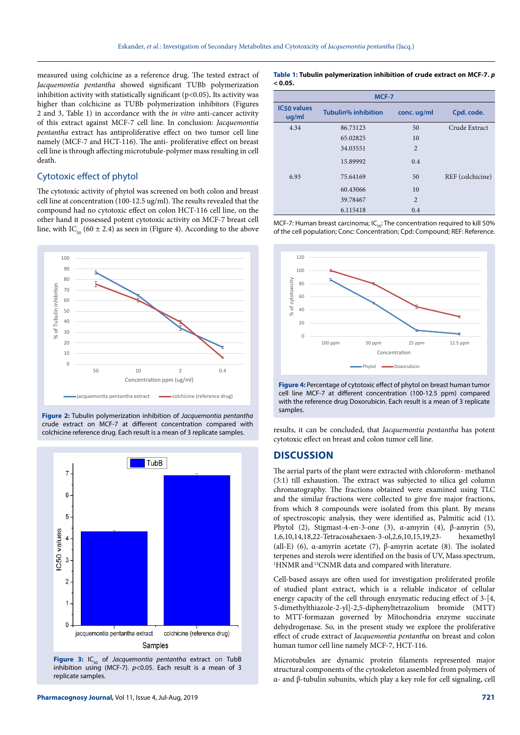measured using colchicine as a reference drug. The tested extract of *Jacquemontia pentantha* showed significant TUBb polymerization inhibition activity with statistically significant (p<0.05)**.** Its activity was higher than colchicine as TUBb polymerization inhibitors (Figures 2 and 3, Table 1) in accordance with the *in vitro* anti-cancer activity of this extract against MCF-7 cell line. In conclusion: *Jacquemontia pentantha* extract has antiproliferative effect on two tumor cell line namely (MCF-7 and HCT-116). The anti- proliferative effect on breast cell line is through affecting microtubule-polymer mass resulting in cell death.

## Cytotoxic effect of phytol

The cytotoxic activity of phytol was screened on both colon and breast cell line at concentration (100-12.5 ug/ml). The results revealed that the compound had no cytotoxic effect on colon HCT-116 cell line, on the other hand it possessed potent cytotoxic activity on MCF-7 breast cell line, with IC<sub>50</sub> (60  $\pm$  2.4) as seen in (Figure 4). According to the above



**Figure 2:** Tubulin polymerization inhibition of *Jacquemontia pentantha*  crude extract on MCF-7 at different concentration compared with colchicine reference drug. Each result is a mean of 3 replicate samples.



Figure 3: IC<sub>50</sub> of *Jacquemontia pentantha* extract on TubB inhibition using (MCF-7). *p*<0.05. Each result is a mean of 3 replicate samples.

**Table 1: Tubulin polymerization inhibition of crude extract on MCF-7.** *p*  **< 0.05.**

| MCF-7                       |                            |             |                  |
|-----------------------------|----------------------------|-------------|------------------|
| <b>IC50 values</b><br>ug/ml | <b>Tubulin% inhibition</b> | conc. ug/ml | Cpd. code.       |
| 4.34                        | 86.73123                   | 50          | Crude Extract    |
|                             | 65.02825                   | 10          |                  |
|                             | 34.03551                   | 2           |                  |
|                             | 15.89992                   | 0.4         |                  |
| 6.93                        | 75.64169                   | 50          | REF (colchicine) |
|                             | 60.43066                   | 10          |                  |
|                             | 39.78467                   | 2           |                  |
|                             | 6.115418                   | 0.4         |                  |

MCF-7: Human breast carcinoma;  $IC_{50}$ : The concentration required to kill 50% of the cell population; Conc: Concentration; Cpd: Compound; REF: Reference.



**Figure 4:** Percentage of cytotoxic effect of phytol on breast human tumor cell line MCF-7 at different concentration (100-12.5 ppm) compared with the reference drug Doxorubicin. Each result is a mean of 3 replicate samples.

results, it can be concluded, that *Jacquemontia pentantha* has potent cytotoxic effect on breast and colon tumor cell line.

#### **DISCUSSION**

The aerial parts of the plant were extracted with chloroform- methanol (3:1) till exhaustion. The extract was subjected to silica gel column chromatography. The fractions obtained were examined using TLC and the similar fractions were collected to give five major fractions, from which 8 compounds were isolated from this plant. By means of spectroscopic analysis, they were identified as, Palmitic acid (1), Phytol (2), Stigmast-4-en-3-one (3), α-amyrin (4), β-amyrin (5), 1,6,10,14,18,22-Tetracosahexaen-3-ol,2,6,10,15,19,23- hexamethyl (all-E) (6), α-amyrin acetate (7), β-amyrin acetate (8). The isolated terpenes and sterols were identified on the basis of UV, Mass spectrum, <sup>1</sup>HNMR and <sup>13</sup>CNMR data and compared with literature.

Cell-based assays are often used for investigation proliferated profile of studied plant extract, which is a reliable indicator of cellular energy capacity of the cell through enzymatic reducing effect of 3-[4, 5-dimethylthiazole-2-yl]-2,5-diphenyltetrazolium bromide (MTT) to MTT-formazan governed by Mitochondria enzyme succinate dehydrogenase. So, in the present study we explore the proliferative effect of crude extract of *Jacquemontia pentantha* on breast and colon human tumor cell line namely MCF-7, HCT-116.

Microtubules are dynamic protein filaments represented major structural components of the cytoskeleton assembled from polymers of α- and β-tubulin subunits, which play a key role for cell signaling, cell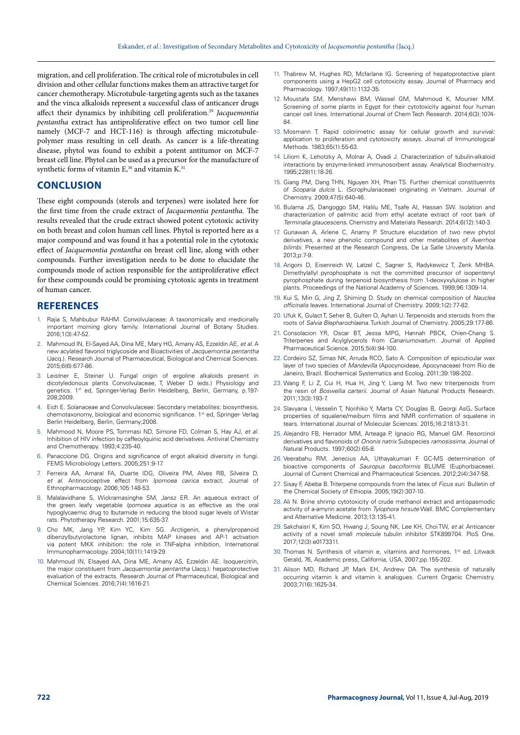migration, and cell proliferation. The critical role of microtubules in cell division and other cellular functions makes them an attractive target for cancer chemotherapy. Microtubule-targeting agents such as the taxanes and the vinca alkaloids represent a successful class of anticancer drugs affect their dynamics by inhibiting cell proliferation.29 *Jacquemontia pentantha* extract has antiproliferative effect on two tumor cell line namely (MCF-7 and HCT-116) is through affecting microtubulepolymer mass resulting in cell death. As cancer is a life-threating disease, phytol was found to exhibit a potent antitumor on MCF-7 breast cell line. Phytol can be used as a precursor for the manufacture of synthetic forms of vitamin  $E^{30}$  and vitamin  $K^{31}$ 

# **CONCLUSION**

These eight compounds (sterols and terpenes) were isolated here for the first time from the crude extract of *Jacquemontia pentantha.* The results revealed that the crude extract showed potent cytotoxic activity on both breast and colon human cell lines. Phytol is reported here as a major compound and was found it has a potential role in the cytotoxic effect of *Jacquemontia pentantha* on breast cell line, along with other compounds. Further investigation needs to be done to elucidate the compounds mode of action responsible for the antiproliferative effect for these compounds could be promising cytotoxic agents in treatment of human cancer.

#### **REFERENCES**

- 1. Rajia S, Mahbubur RAHM. Convolvulaceae: A taxonomically and medicinally important morning glory family. International Journal of Botany Studies. 2016;1(3):47-52.
- 2. Mahmoud IN, El-Sayed AA, Dina ME, Mary HG, Amany AS, Ezzeldin AE, *et al*. A new acylated flavonol triglycoside and Bioactivities of *Jacquemontia pentantha* (Jacq.). Research Journal of Pharmaceutical, Biological and Chemical Sciences. 2015;6(6):677-86.
- 3. Leistner E, Steiner U. Fungal origin of ergoline alkaloids present in dicotyledonous plants Convolvulaceae, T, Weber D (eds.) Physiology and genetics. 1<sup>st</sup> ed, Springer-Verlag Berlin Heidelberg, Berlin, Germany, p.197-208;2009.
- 4. Eich E. Solanaceae and Convolvulaceae: Secondary metabolites: biosynthesis, chemotaxonomy, biological and economic significance. 1<sup>st</sup> ed, Springer- Verlag Berlin Heidelberg, Berlin, Germany;2008.
- 5. Mahmood N, Moore PS, Tommasi ND, Simone FD, Colman S, Hay AJ, *et al.* Inhibition of HIV infection by caffeoylquinic acid derivatives. Antiviral Chemistry and Chemotherapy. 1993;4:235-40.
- 6. Panaccione DG. Origins and significance of ergot alkaloid diversity in fungi. FEMS Microbiology Letters*.* 2005;251:9-17.
- 7. Ferreira AA, Amaral FA, Duarte IDG, Oliveira PM, Alves RB, Silveira D, *et al*. Antinociceptive effect from *Ipomoea cairica* extract. Journal of Ethnopharmacology. 2006;105:148-53.
- 8. Malalavidhane S, Wickramasinghe SM, Jansz ER. An aqueous extract of the green leafy vegetable *Ipomoea aquatica* is as effective as the oral hypoglycaemic drug to lbutamide in reducing the blood sugar levels of Wistar rats. Phytotherapy Research. 2001;15:635-37.
- 9. Cho MK, Jang YP, Kim YC, Kim SG. Arctigenin, a phenylpropanoid dibenzylbutyrolactone lignan, inhibits MAP kinases and AP-1 activation via potent MKK inhibition: the role in TNF-alpha inhibition, International Immunopharmacology. 2004;10(11):1419-29.
- 10. Mahmoud IN, Elsayed AA, Dina ME, Amany AS, Ezzeldin AE. Isoquercitrin, the major constituent from *Jacquemontia pentantha* (Jacq.): hepatoprotective evaluation of the extracts. Research Journal of Pharmaceutical, Biological and Chemical Sciences. 2016;7(4):1616-21.
- 11. Thabrew M, Hughes RD, Mcfarlane IG. Screening of hepatoprotective plant components using a HepG2 cell cytotoxicity assay. Journal of Pharmacy and Pharmacology. 1997;49(11):1132-35.
- 12. Moustafa SM, Menshawi BM, Wassel GM, Mahmoud K, Mounier MM. Screening of some plants in Egypt for their cytotoxicity against four human cancer cell lines. International Journal of Chem Tech Research. 2014;6(3):1074- 84.
- 13. Mosmann T. Rapid colorimetric assay for cellular growth and survival: application to proliferation and cytotoxicity assays. Journal of Immunological Methods. 1983;65(1):55-63.
- 14. Liliom K, Lehotzky A, Molnar A, Ovadi J. Characterization of tubulin-alkaloid interactions by enzyme-linked immunosorbent assay. Analytical Biochemistry. 1995;228(1):18-26.
- 15. Giang PM, Dang THN, Nguyen XH, Phan TS. Further chemical constituennts of *Scoparia dulcis* L. (Scrophulariaceae) originating in Vietnam. Journal of Chemistry. 2009;47(5):640-46.
- 16. Bulama JS, Dangoggo SM, Halilu ME, Tsafe AI, Hassan SW. Isolation and characterization of palmitic acid from ethyl acetate extract of root bark of *Terminalia glaucescens***.** Chemistry and Materials Research. 2014;6(12):140-3.
- 17. Gunawan A, Arlene C, Anamy P. Structure elucidation of two new phytol derivatives, a new phenolic compound and other metabolites of *Averrhoa bilimbi*. Presented at the Research Congress, De La Salle University Manila. 2013;p:7-9.
- 18. Arigoni D, Eisenreich W, Latzel C, Sagner S, Radykewicz T, Zenk MHBA. Dimethylallyl pyrophosphate is not the committed precursor of isopentenyl pyrophosphate during terpenoid biosynthesis from 1-deoxyxylulose in higher plants. Proceedings of the National Academy of Sciences. 1999;96:1309-14.
- 19. Kui S, Min G, Jing Z, Shiming D. Study on chemical composition of *Nauclea officinalis* leaves. International Journal of Chemistry. 2009;1(2):77-82.
- 20. Ufuk K, Gulact T, Seher B, Gulten O, Ayhan U. Terpenoids and steroids from the roots of *Salvia Blepharochlaena*. Turkish Journal of Chemistry. 2005;29:177-86.
- 21. Consolacion YR, Oscar BT, Jessa MPG, Hannah PBCK, Chien-Chang S. Triterpenes and Acylglycerols from *Canariumovatum*. Journal of Applied Pharmaceutical Science. 2015;5(4):94-100.
- 22. Cordeiro SZ, Simas NK, Arruda RCO, Sato A. Composition of epicuticular wax layer of two species of *Mandevilla* (Apocynoideae, Apocynaceae) from Rio de Janeiro, Brazil. Biochemical Systematics and Ecolog. 2011;39:198-202.
- 23. Wang F, Li Z, Cui H, Hua H, Jing Y, Liang M. Two new triterpenoids from the resin of *Boswellia carterii*. Journal of Asian Natunal Products Research. 2011;13(3):193-7.
- 24. Slavyana I, Vesselin T, Norihiko Y, Marta CY, Douglas B, Georgi AsG**.** Surface properties of squalene/meibum films and NMR confirmation of squalene in tears. International Journal of Molecular Sciences. 2015;16:21813-31.
- 25. Alejandro FB, Herrador MM, Arteaga P, Ignacio RG, Manuel GM. Resorcinol derivatives and flavonoids of *Ononis natrix* Subspecies *ramosissima*. Journal of Natural Products. 1997;60(2):65-8.
- 26. Veerabahu RM, Jenecius AA, Uthayakumari F. GC-MS determination of bioactive components of *Sauropus bacciformis* BLUME (Euphorbiaceae). Journal of Current Chemical and Pharmaceutical Sciences. 2012;2(4):347-58.
- 27. Sisay F, Abeba B. Triterpene compounds from the latex of *Ficus suri*. Bulletin of the Chemical Society of Ethiopia. 2005;19(2):307-10.
- 28. Ali N. Brine shrimp cytotoxicity of crude methanol extract and antispasmodic activity of a-amyrin acetate from *Tylophora hirsute* Wall. BMC Complementary and Alternative Medicine. 2013;13:135-41.
- 29. Sakchaisri K, Kim SO, Hwang J*,* Soung NK, Lee KH, Choi TW, *et al*. Anticancer activity of a novel small *molecule* tubulin inhibitor STK899704. PloS One. 2017;12(3):e0173311.
- 30. Thomas N. Synthesis of vitamin e, vitamins and hormones, 1<sup>st</sup> ed. Litwack Gerald, 76, Academic press*,* California, USA*,* 2007;pp.155-202.
- 31. Alison MD, Richard JP, Mark EH, Andrew DA. The synthesis of naturally occurring vitamin k and vitamin k analogues. Current Organic Chemistry. 2003;7(16):1625-34.